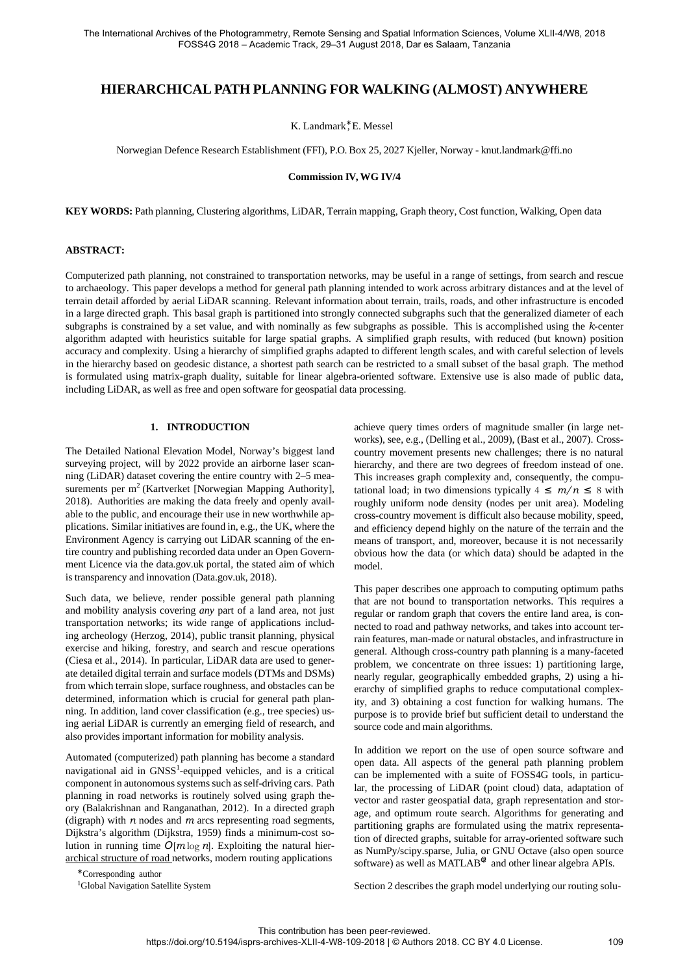# **HIERARCHICAL PATH PLANNING FOR WALKING (ALMOST) ANYWHERE**

K. Landmark<sup>\*</sup>, E. Messel

Norwegian Defence Research Establishment (FFI), P.O. Box 25, 2027 Kjeller, Norway - [knut.landmark@ffi.no](mailto:knut.landmark@ffi.no)

**Commission IV, WG IV/4**

**KEY WORDS:** Path planning, Clustering algorithms, LiDAR, Terrain mapping, Graph theory, Cost function, Walking, Open data

### **ABSTRACT:**

Computerized path planning, not constrained to transportation networks, may be useful in a range of settings, from search and rescue to archaeology. This paper develops a method for general path planning intended to work across arbitrary distances and at the level of terrain detail afforded by aerial LiDAR scanning. Relevant information about terrain, trails, roads, and other infrastructure is encoded in a large directed graph. This basal graph is partitioned into strongly connected subgraphs such that the generalized diameter of each subgraphs is constrained by a set value, and with nominally as few subgraphs as possible. This is accomplished using the *k*-center algorithm adapted with heuristics suitable for large spatial graphs. A simplified graph results, with reduced (but known) position accuracy and complexity. Using a hierarchy of simplified graphs adapted to different length scales, and with careful selection of levels in the hierarchy based on geodesic distance, a shortest path search can be restricted to a small subset of the basal graph. The method is formulated using matrix-graph duality, suitable for linear algebra-oriented software. Extensive use is also made of public data, including LiDAR, as well as free and open software for geospatial data processing.

## **1. INTRODUCTION**

The Detailed National Elevation Model, Norway's biggest land surveying project, will by 2022 provide an airborne laser scanning (LiDAR) dataset covering the entire country with 2–5 measurements per  $m^2$  (Kartverket [Norwegian Mapping Authority], 2018). Authorities are making the data freely and openly available to the public, and encourage their use in new worthwhile applications. Similar initiatives are found in, e.g., the UK, where the Environment Agency is carrying out LiDAR scanning of the entire country and publishing recorded data under an Open Government Licence via the data.gov.uk portal, the stated aim of which is transparency and innovation (Data.gov.uk, 2018).

Such data, we believe, render possible general path planning and mobility analysis covering *any* part of a land area, not just transportation networks; its wide range of applications including archeology (Herzog, 2014), public transit planning, physical exercise and hiking, forestry, and search and rescue operations (Ciesa et al., 2014). In particular, LiDAR data are used to generate detailed digital terrain and surface models (DTMs and DSMs) from which terrain slope, surface roughness, and obstacles can be determined, information which is crucial for general path planning. In addition, land cover classification (e.g., tree species) using aerial LiDAR is currently an emerging field of research, and also provides important information for mobility analysis.

Automated (computerized) path planning has become a standard navigational aid in GNSS<sup>1</sup>-equipped vehicles, and is a critical component in autonomous systems such as self-driving cars. Path planning in road networks is routinely solved using graph theory (Balakrishnan and Ranganathan, 2012). In a directed graph (digraph) with *n* nodes and *m* arcs representing road segments, Dijkstra's algorithm (Dijkstra, 1959) finds a minimum-cost solution in running time  $O[m \log n]$ . Exploiting the natural hierarchical structure of road networks, modern routing applications

achieve query times orders of magnitude smaller (in large networks), see, e.g., (Delling et al., 2009), (Bast et al., 2007). Crosscountry movement presents new challenges; there is no natural hierarchy, and there are two degrees of freedom instead of one. This increases graph complexity and, consequently, the computational load; in two dimensions typically  $4 \leq m/n \leq 8$  with roughly uniform node density (nodes per unit area). Modeling cross-country movement is difficult also because mobility, speed, and efficiency depend highly on the nature of the terrain and the means of transport, and, moreover, because it is not necessarily obvious how the data (or which data) should be adapted in the model.

This paper describes one approach to computing optimum paths that are not bound to transportation networks. This requires a regular or random graph that covers the entire land area, is connected to road and pathway networks, and takes into account terrain features, man-made or natural obstacles, and infrastructure in general. Although cross-country path planning is a many-faceted problem, we concentrate on three issues: 1) partitioning large, nearly regular, geographically embedded graphs, 2) using a hierarchy of simplified graphs to reduce computational complexity, and 3) obtaining a cost function for walking humans. The purpose is to provide brief but sufficient detail to understand the source code and main algorithms.

In addition we report on the use of open source software and open data. All aspects of the general path planning problem can be implemented with a suite of FOSS4G tools, in particular, the processing of LiDAR (point cloud) data, adaptation of vector and raster geospatial data, graph representation and storage, and optimum route search. Algorithms for generating and partitioning graphs are formulated using the matrix representation of directed graphs, suitable for array-oriented software such as NumPy/scipy.sparse, Julia, or GNU Octave (also open source software) as well as MATLAB<sup>®</sup> and other linear algebra APIs.

<sup>∗</sup>Corresponding author

<sup>1</sup>Global Navigation Satellite System

Section 2 describes the graph model underlying our routing solu-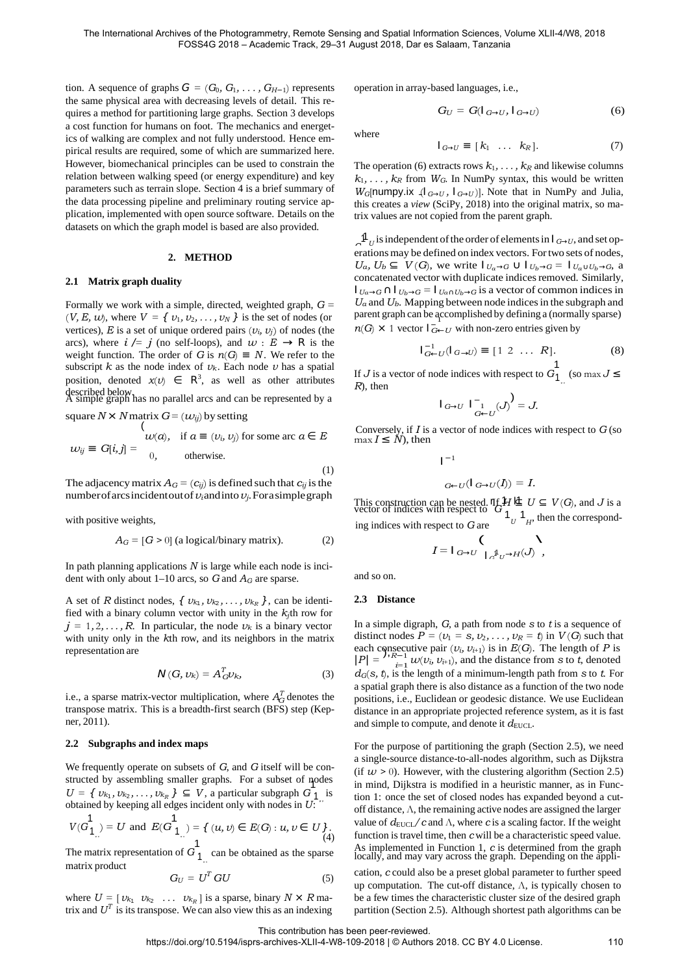tion. A sequence of graphs  $G = (G_0, G_1, \ldots, G_{H-1})$  represents the same physical area with decreasing levels of detail. This requires a method for partitioning large graphs. Section 3 develops a cost function for humans on foot. The mechanics and energetics of walking are complex and not fully understood. Hence empirical results are required, some of which are summarized here. However, biomechanical principles can be used to constrain the relation between walking speed (or energy expenditure) and key parameters such as terrain slope. Section 4 is a brief summary of the data processing pipeline and preliminary routing service application, implemented with open source software. Details on the datasets on which the graph model is based are also provided.

#### **2. METHOD**

#### **2.1 Matrix graph duality**

Formally we work with a simple, directed, weighted graph, *G* =  $(V, E, w)$ , where  $V = \{v_1, v_2, \ldots, v_N\}$  is the set of nodes (or vertices),  $E$  is a set of unique ordered pairs  $(v_i, v_j)$  of nodes (the arcs), where  $i / = j$  (no self-loops), and  $w : E \rightarrow \mathbb{R}$  is the weight function. The order of *G* is  $n(G) \equiv N$ . We refer to the subscript  $k$  as the node index of  $v_k$ . Each node  $v$  has a spatial position, denoted  $x(v) \in \mathbb{R}^3$ , as well as other attributes described below. A simple graph has no parallel arcs and can be represented by a

square  $N \times N$  matrix  $G = (w_{ij})$  by setting

$$
\begin{aligned}\n(v_i, \dots, v_i) &= G[i, j] = \begin{cases}\n\omega(a), & \text{if } a \equiv (v_i, v_j) \text{ for some arc } a \in E \\
0, & \text{otherwise.}\n\end{cases}\n\end{aligned}
$$

The adjacency matrix  $A_G = (c_{ij})$  is defined such that  $c_{ij}$  is the number of arcsincident out of  $v_i$  and into  $v_j$ . For a simple graph

with positive weights,

$$
A_G = [G > 0]
$$
 (a logical/binary matrix). (2)

In path planning applications *N* is large while each node is incident with only about 1–10 arcs, so *G* and *AG* are sparse.

A set of *R* distinct nodes,  $\{v_{k_1}, v_{k_2}, \ldots, v_{k_R}\}$ , can be identified with a binary column vector with unity in the  $k_j$ th row for  $j = 1, 2, \ldots, R$ . In particular, the node  $\nu_k$  is a binary vector with unity only in the *k*th row, and its neighbors in the matrix representation are

$$
\mathsf{N}(G,\nu_k) = A_G^T \nu_k,\tag{3}
$$

i.e., a sparse matrix-vector multiplication, where  $A_G^T$  denotes the transpose matrix. This is a breadth-first search (BFS) step (Kepner, 2011).

## **2.2 Subgraphs and index maps**

 $U = \{ v_{k_1}, v_{k_2}, \ldots, v_{k_R} \} \subseteq V$ , a particular subgraph  $G_1$  is *U* We frequently operate on subsets of *G*, and *G* itself will be constructed by assembling smaller graphs. For a subset of nodes obtained by keeping all edges incident only with nodes in *U* :

$$
V(G11) = U \text{ and } E(G11) = \{ (u, v) \in E(G) : u, v \in U \}.
$$
  
(4)

The matrix representation of  $G_{1}$  can be obtained as the sparse *U* matrix product

$$
G_U = U^T G U \tag{5}
$$

where  $U = \begin{bmatrix} v_{k_1} & v_{k_2} & \dots & v_{k_R} \end{bmatrix}$  is a sparse, binary  $N \times R$  matrix and  $U^T$  is its transpose. We can also view this as an indexing

operation in array-based languages, i.e.,

$$
G_U = G(\mathbf{I}_{G \to U}, \mathbf{I}_{G \to U}) \tag{6}
$$

where

$$
I_{G \to U} \equiv [k_1 \ \ldots \ k_R]. \tag{7}
$$

The operation (6) extracts rows  $k_1, \ldots, k_R$  and likewise columns  $k_1, \ldots, k_R$  from  $W_G$ . In NumPy syntax, this would be written *W<sub>G</sub>*[numpy.ix  $\{I_{G \to U}, I_{G \to U}\}$ ]. Note that in NumPy and Julia, this creates a *view* (SciPy, 2018) into the original matrix, so matrix values are not copied from the parent graph.

erations may be defined on index vectors. For two sets of nodes,  $\int_0^1 U$  is independent of the order of elements in  $\int_{G\to U}$ , and set op*n*(*G*)  $\times$  1 vector  $I$ <sub>*G*←*U*</sub> with non-zero entries given by *Ua, Ub* ⊆ *V*(*G*), we write  $|_{U_a \to G}$  ∪  $|_{U_b \to G}$  =  $|_{U_a \cup U_b \to G}$ , a concatenated vector with duplicate indices removed. Similarly,  $I_{U_a\rightarrow G}$  ∩  $I_{U_b\rightarrow G}$  =  $I_{U_a \cap U_b \rightarrow G}$  is a vector of common indices in *Ua* and *Ub*. Mapping between node indicesin the subgraph and parent graph can be accomplished by defining a (normally sparse) <sup>1</sup>

$$
I_{G \leftarrow U}^{-1}(I_{G \rightarrow U}) \equiv [1 \ 2 \ \dots \ R]. \tag{8}
$$

If *J* is a vector of node indices with respect to  $G_{1}$ <sup>1</sup> (so max *J* ≤ *R*). then *R*), then

$$
I_{G\to U}I_{G\leftarrow U}^{-1}(J)^{\lambda}=J.
$$

Conversely, if *I* is a vector of node indices with respect to *G*(so max  $I \leq N$ ), then

$$
\mathsf{I}^{-1}
$$

$$
_{G\leftarrow U}(\mathbf{I}_{G\rightarrow U}(I))=I.
$$

This construction can be nested.  $\Pi f H \perp U \subseteq V(G)$ , and *J* is a vector of indices with respect to  $G_1$ ing indices with respect to *G* are (  $1_U$ , then the correspond-

$$
I = I_{G \to U} \bigcap_{I \subset \mathbb{I}_{U} \to H(J)} \Lambda
$$

and so on.

#### **2.3 Distance**

each consecutive pair  $(v_i, v_{i+1})$  is in  $E(G)$ . The length of *P* is  $|P| = \int_{i=1}^{n} w(v_i, v_{i+1})$ , and the distance from *s* to *t*, denoted In a simple digraph, *G*, a path from node *s* to *t* is a sequence of distinct nodes  $P = (v_1 = s, v_2, \dots, v_R = t)$  in  $V(G)$  such that each consecutive pair  $(v_i, v_{i+1})$  is in  $E(G)$ . The length of *P* is  $|P| = \sum_{i=1}^{n} w(v_i, v_{i+1})$ , and the distance from *s* to *t*, denoted *dG*(*s, t*), is the length of a minimum-length path from *s* to *t*. For a spatial graph there is also distance as a function of the two node positions, i.e., Euclidean or geodesic distance. We use Euclidean distance in an appropriate projected reference system, as it is fast and simple to compute, and denote it  $d_{\text{EUCL}}$ .

For the purpose of partitioning the graph (Section 2.5), we need a single-source distance-to-all-nodes algorithm, such as Dijkstra (if  $w > 0$ ). However, with the clustering algorithm (Section 2.5) in mind, Dijkstra is modified in a heuristic manner, as in Function 1: once the set of closed nodes has expanded beyond a cutoff distance, Λ, the remaining active nodes are assigned the larger value of  $d_{\text{EUCL}}/c$  and  $\Lambda$ , where *c* is a scaling factor. If the weight function is travel time, then *c* will be a characteristic speed value. As implemented in Function 1, *<sup>c</sup>*is determined from the graph locally, and may vary across the graph. Depending on the appli-

*cation, c could also be a preset global parameter to further speed* up computation. The cut-off distance,  $\Lambda$ , is typically chosen to be a few times the characteristic cluster size of the desired graph partition (Section 2.5). Although shortest path algorithms can be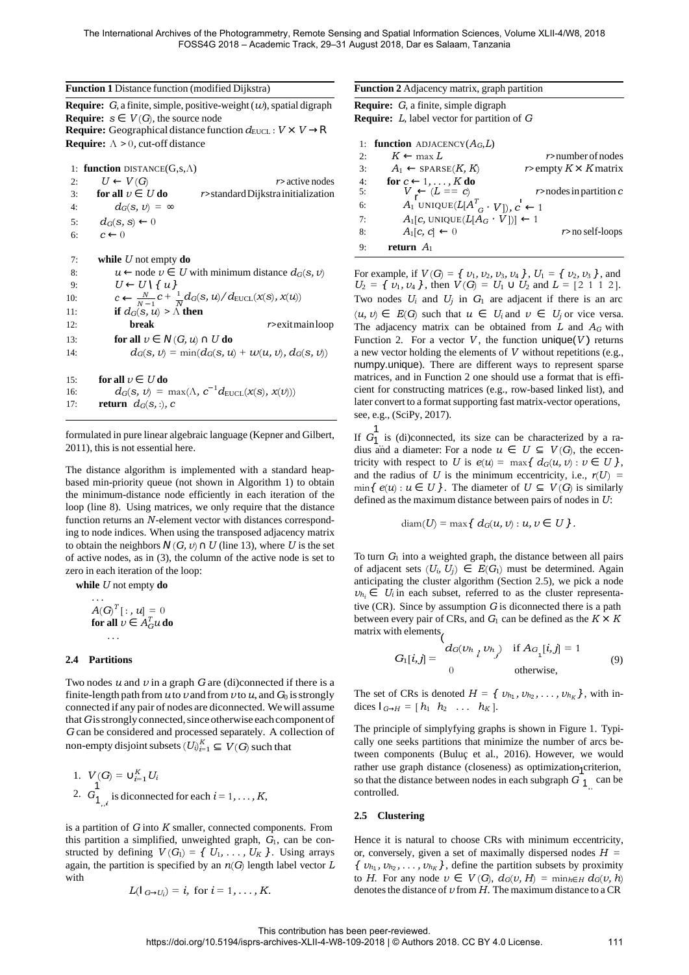| Function 1 Distance function (modified Dijkstra) |  |  |  |  |
|--------------------------------------------------|--|--|--|--|
|--------------------------------------------------|--|--|--|--|

**Require:**  $G$ , a finite, simple, positive-weight  $(w)$ , spatial digraph **Require:**  $s \in V(G)$ , the source node **Require:** Geographical distance function  $d_{\text{EUCL}} : V \times V \rightarrow \mathbb{R}$ **Require:** Λ *>* 0*,* cut-off distance

10:  $c \leftarrow \frac{N}{N-1}c + \frac{1}{N}$ 1: **function** DISTANCE(G,s,Λ) 2:  $U \leftarrow V(G)$  *r>* active nodes 3: **for all**  $v \in U$  **do** *r>*standard Dijkstra initialization 4:  $d_G(s, v) = \infty$ 5:  $d_G(s, s) \leftarrow 0$ 6:  $c \leftarrow 0$ 7: **while** *U* not empty **do** 8:  $u \leftarrow \text{node } v \in U$  with minimum distance  $d_G(s, v)$ 9:  $U \leftarrow U \setminus \{u\}$ 11: **if**  $d_G(s, u) > \Lambda$  **then** 12: **break** *r>*exitmain loop 13: **for all**  $v \in N(G, u) \cap U$  **do** 14:  $d_G(s, v) = \min(d_G(s, u) + w(u, v), d_G(s, v))$ 15: **for all**  $v \in U$  **do** 16:  $d_G(s, v) = \max(\Lambda, c^{-1}d_{\text{EUCL}}(x(s), x(v)))$ 17: **return**  $d_G(s, :), c$ 

formulated in pure linear algebraic language (Kepner and Gilbert, 2011), this is not essential here.

The distance algorithm is implemented with a standard heapbased min-priority queue (not shown in Algorithm 1) to obtain the minimum-distance node efficiently in each iteration of the loop (line 8). Using matrices, we only require that the distance function returns an *N* -element vector with distances corresponding to node indices. When using the transposed adjacency matrix to obtain the neighbors  $N(G, v) \cap U$  (line 13), where *U* is the set of active nodes, as in (3), the column of the active node is set to zero in each iteration of the loop:

**while** *U* not empty **do**

$$
A(G)^{T}[:, u] = 0
$$
  
for all  $v \in A_G^T u$  do  
...

non-empty disjoint subsets  $(U_i)_{i=1}^K \subseteq V(G)$  such that Two nodes *u* and *v* in a graph *G* are (di)connected if there is a finite-length path from  $u$  to  $v$  and from  $v$  to  $u$ , and  $G_0$  is strongly connected if any pair of nodes are diconnected. Wewill assume that G is strongly connected, since otherwise each component of *G* can be considered and processed separately. A collection of

1. 
$$
V(G) = U_{i=1}^{K} U_i
$$
  
2.  $G_{1_{i}}^{1}$  is disconnected for each  $i = 1, ..., K$ ,

is a partition of *G* into *K* smaller, connected components. From this partition a simplified, unweighted graph, *G*1, can be constructed by defining  $V(G_1) = \{ U_1, \ldots, U_K \}$ . Using arrays again, the partition is specified by an *n*(*G*) length label vector *L* with

$$
L(\mathsf{I}_{G\rightarrow U_i})=i, \text{ for } i=1,\ldots,K.
$$

6:  $A_1$  UNIQUE(*L*[ $A^T G \cdot V$ ]),  $C \leftarrow 1$ **Function 2** Adjacency matrix, graph partition **Require:** *G*, a finite, simple digraph **Require:** *L*, label vector for partition of *G* 1: **function** ADJACENCY(*AG*,*L*) 2:  $K \leftarrow \max L$  *r*>number of nodes 3: *A*<sub>1</sub> ← SPARSE(*K, K*) *r*> empty *K* × *K* matrix 4: **for**  $c \leftarrow 1, \ldots, K$  **do** 5:  $V \leftarrow (L == c)$  *r*>nodes in partition *c* 

8:  $A_1[c, c] \leftarrow 0$  *r*>no self-loops

7:  $A_1[c, \text{UNIQUE}(L[A_G \cdot \overline{V}])] \leftarrow 1$ 

9: **return** *A*<sup>1</sup>

For example, if  $V(G) = \{ v_1, v_2, v_3, v_4 \}$ ,  $U_1 = \{ v_2, v_3 \}$ , and  $U_2 = \{ v_1, v_4 \}$ , then  $V(G) = U_1 \cup U_2$  and  $L = [2 \ 1 \ 1 \ 2]$ . Two nodes  $U_i$  and  $U_j$  in  $G_1$  are adjacent if there is an arc  $(u, v)$  ∈ *E*(*G*) such that  $u$  ∈ *U<sub>i</sub>* and  $v$  ∈ *U<sub>i</sub>* or vice versa. The adjacency matrix can be obtained from *L* and *AG* with Function 2. For a vector  $V$ , the function unique( $V$ ) returns a new vector holding the elements of *V* without repetitions (e.g., numpy.unique). There are different ways to represent sparse matrices, and in Function 2 one should use a format that is efficient for constructing matrices (e.g., row-based linked list), and later convert to a format supporting fast matrix-vector operations, see, e.g., (SciPy, 2017).

If  $G_1$ <sup>1</sup> is (di)connected, its size can be characterized by a radius and a diameter: For a node  $u \in U \subseteq V(G)$ , the eccentricity with respect to *U* is  $e(u) = \max\{d_G(u, v) : v \in U\}$ , and the radius of *U* is the minimum eccentricity, i.e.,  $r(U)$  =  $\min\{e(u): u \in U\}$ . The diameter of  $U \subseteq V(G)$  is similarly defined as the maximum distance between pairs of nodes in *U* :

$$
\text{diam}(U) = \max\{ d_G(u, v) : u, v \in U \}.
$$

To turn *G*1 into a weighted graph, the distance between all pairs of adjacent sets  $(U_i, U_j) \in E(G_1)$  must be determined. Again anticipating the cluster algorithm (Section 2.5), we pick a node  $v_{h_i} \in U_i$  in each subset, referred to as the cluster representative (CR). Since by assumption *G* is diconnected there is a path between every pair of CRs, and  $G_1$  can be defined as the  $K \times K$ matrix with elements $\mu$ 

2.4 Partitions 
$$
G_1[i,j] = \begin{cases} d_G(\nu h_i, \nu h_j) & \text{if } A_{G_1}[i,j] = 1 \\ 0 & \text{otherwise,} \end{cases}
$$
(9)

The set of CRs is denoted  $H = \{ v_{h_1}, v_{h_2}, \ldots, v_{h_K} \}$ , with indices  $I_{G\rightarrow H}=[h_1 \quad h_2 \quad \dots \quad h_K].$ 

*i*. *V*(*G*) = ∪<sup>*K*</sup><sub>*i*=1</sub> *U<sub>i</sub>* so that the distance (closeness) as optimization criterion, so that the distance between nodes in each subgraph *G*  $\frac{1}{1}$  can be The principle of simplyfying graphs is shown in Figure 1. Typically one seeks partitions that minimize the number of arcs between components (Buluç et al., 2016). However, we would  $controlled.$ 

## **2.5 Clustering**

Hence it is natural to choose CRs with minimum eccentricity, or, conversely, given a set of maximally dispersed nodes *H* =  $\{ v_{h_1}, v_{h_2}, \ldots, v_{h_K} \}$ , define the partition subsets by proximity to *H*. For any node  $v \in V(G)$ ,  $d_G(v, H) = \min_{h \in H} d_G(v, h)$ denotes the distance of *v* from *H*. The maximum distance to a CR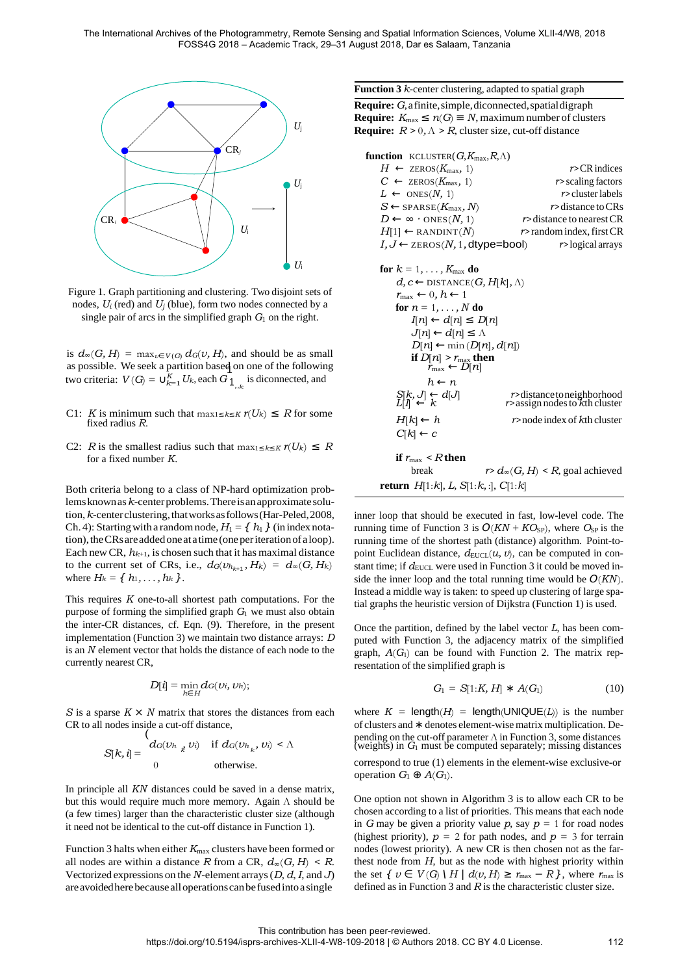

Figure 1. Graph partitioning and clustering. Two disjoint sets of nodes,  $U_i$  (red) and  $U_j$  (blue), form two nodes connected by a single pair of arcs in the simplified graph  $G_1$  on the right.

*k* two criteria: *V*(*G*) = ∪<sup>*K*</sup><sub>*K*</sub> *U<sub>k</sub>*, each *G* <sub>1</sub><sub>*k*</sub>, is diconnected, and *h* ← *n* is  $d_{\infty}(G, H) = \max_{v \in V(G)} d_G(v, H)$ , and should be as small as possible. We seek a partition based on one of the following

*U*

- C1: *K* is minimum such that max<sub>1≤*k*≤*K*  $r(U_k)$  ≤ *R* for some fixed radius *R*.</sub>
- C2: *R* is the smallest radius such that  $\max_{1 \leq k \leq K} r(U_k) \leq R$ for a fixed number *K*.

Both criteria belong to a class of NP-hard optimization problemsknownas*k*-centerproblems.Thereisanapproximatesolution,*k*-centerclustering,thatworksasfollows(Har-Peled,2008, Ch. 4): Starting with a random node,  $H_1 = \{h_1\}$  (in index notation), the CRs are added one at a time (one per iteration of a loop). Each new CR,  $h_{k+1}$ , is chosen such that it has maximal distance to the current set of CRs, i.e.,  $d_G(v_{h_{k+1}}, H_k) = d_G(G, H_k)$ where  $H_k = \{ h_1, \ldots, h_k \}.$ 

This requires *K* one-to-all shortest path computations. For the purpose of forming the simplified graph *G*1 we must also obtain the inter-CR distances, cf. Eqn. (9). Therefore, in the present implementation (Function 3) we maintain two distance arrays: *D* is an *N* element vector that holds the distance of each node to the currently nearest CR,

$$
D[i] = \min_{h \in H} d_G(v_i, v_h);
$$

*S* is a sparse *K × N* matrix that stores the distances from each CR to all nodes inside a cut-off distance,

$$
S[k, i] = \begin{cases} d_G(v_{h_k}, v_i) & \text{if } d_G(v_{h_k}, v_i) < \Lambda \\ 0 & \text{otherwise.} \end{cases}
$$

In principle all *KN* distances could be saved in a dense matrix, but this would require much more memory. Again Λ should be (a few times) larger than the characteristic cluster size (although it need not be identical to the cut-off distance in Function 1).

Function 3 halts when either  $K_{\text{max}}$  clusters have been formed or all nodes are within a distance *R* from a CR,  $d_{\infty}(G, H) \leq R$ . Vectorized expressions on the *N* -element arrays (*D*, *d*, *I*, and *J* ) areavoidedherebecausealloperationscanbefusedinto a single

#### **Function 3** *k*-center clustering, adapted to spatial graph

**Require:** *G*, a finite,simple,diconnected,spatialdigraph **Require:**  $K_{\text{max}}$  ≤  $n(G)$  ≡ *N*, maximum number of clusters **Require:**  $R > 0, \Lambda > R$ , cluster size, cut-off distance

| <b>function</b> KCLUSTER( $G$ , $K_{\text{max}}$ , $R$ , $\Lambda$ )       |                                                                |  |  |  |
|----------------------------------------------------------------------------|----------------------------------------------------------------|--|--|--|
| $H \leftarrow$ ZEROS( $K_{\text{max}}$ , 1)                                | $r > CR$ indices                                               |  |  |  |
| $C \leftarrow$ ZEROS( $K_{\text{max}}$ , 1)                                | $r$ scaling factors                                            |  |  |  |
| $L \leftarrow$ ONES(N, 1)                                                  | $r$ > cluster labels                                           |  |  |  |
| $S \leftarrow$ SPARSE( $K_{\text{max}}, N$ )                               | <i>r</i> >distance to CRs                                      |  |  |  |
| $D \leftarrow \infty \cdot$ ONES(N, 1)                                     | $r$ > distance to nearest CR                                   |  |  |  |
| $H[1] \leftarrow$ RANDINT(N)                                               | $r$ >random index, first CR                                    |  |  |  |
| $I, J \leftarrow$ zEROS(N, 1, dtype=bool)                                  | $r$ >logical arrays                                            |  |  |  |
|                                                                            |                                                                |  |  |  |
| for $k = 1, \ldots, K_{\text{max}}$ do                                     |                                                                |  |  |  |
| $d, c \leftarrow$ DISTANCE(G, H[k], $\Lambda$ )                            |                                                                |  |  |  |
| $r_{\text{max}} \leftarrow 0, h \leftarrow 1$                              |                                                                |  |  |  |
| for $n = 1, \ldots, N$ do                                                  |                                                                |  |  |  |
| $I[n] \leftarrow d[n] \leq D[n]$                                           |                                                                |  |  |  |
| $J[n] \leftarrow d[n] \leq \Lambda$                                        |                                                                |  |  |  |
| $D[n] \leftarrow \min(D[n], d[n])$                                         |                                                                |  |  |  |
| if $D[n] > r_{\text{max}}$ then<br>$r_{\text{max}} \leftarrow D[n]$        |                                                                |  |  |  |
|                                                                            |                                                                |  |  |  |
| $h \leftarrow n$                                                           |                                                                |  |  |  |
| $\begin{array}{l} S[k,J] \leftarrow d[J] \\ L[I] \leftarrow k \end{array}$ | r>distancetoneighborhood<br>$r$ assign nodes to $k$ th cluster |  |  |  |
| $H[k] \leftarrow h$                                                        | $r$ >node index of $k$ th cluster                              |  |  |  |
| $C[k] \leftarrow c$                                                        |                                                                |  |  |  |
|                                                                            |                                                                |  |  |  |
| if $r_{\rm max}$ < R then                                                  |                                                                |  |  |  |

 $r > d_{\infty}(G, H) < R$ , goal achieved **return** *H*[1:*k*], *L*, *S*[1:*k,*:], *C*[1:*k*]

inner loop that should be executed in fast, low-level code. The running time of Function 3 is  $O(KN + KO_{SP})$ , where  $O_{SP}$  is the running time of the shortest path (distance) algorithm. Point-topoint Euclidean distance,  $d_{\text{EUCL}}(u, v)$ , can be computed in constant time; if  $d_{\text{EUCL}}$  were used in Function 3 it could be moved inside the inner loop and the total running time would be  $O(KN)$ . Instead a middle way is taken: to speed up clustering of large spatial graphs the heuristic version of Dijkstra (Function 1) is used.

Once the partition, defined by the label vector *L*, has been computed with Function 3, the adjacency matrix of the simplified graph,  $A(G<sub>1</sub>)$  can be found with Function 2. The matrix representation of the simplified graph is

$$
G_1 = S[1:K, H] * A(G_1)
$$
 (10)

where  $K = \text{length}(H) = \text{length}(\text{UNIQUE}(L))$  is the number of clusters and ∗ denotes element-wise matrix multiplication. De- $S[k, i] = \begin{cases} d_G(v_{h_k}, v_i) & \text{if } d_G(v_{h_k}, v_i) < \Lambda \\ \text{weights} & \text{if } G_l \text{ must be computed separately; missing distances} \end{cases}$ 

correspond to true (1) elements in the element-wise exclusive-or operation  $G_1 \oplus A(G_1)$ .

One option not shown in Algorithm 3 is to allow each CR to be chosen according to a list of priorities. This means that each node in *G* may be given a priority value *p*, say  $p = 1$  for road nodes (highest priority),  $p = 2$  for path nodes, and  $p = 3$  for terrain nodes (lowest priority). A new CR is then chosen not as the farthest node from *H*, but as the node with highest priority within the set  $\{ v \in V(G) \setminus H \mid d(v, H) \ge r_{\text{max}} - R \}$ , where  $r_{\text{max}}$  is defined as in Function 3 and *R* is the characteristic cluster size.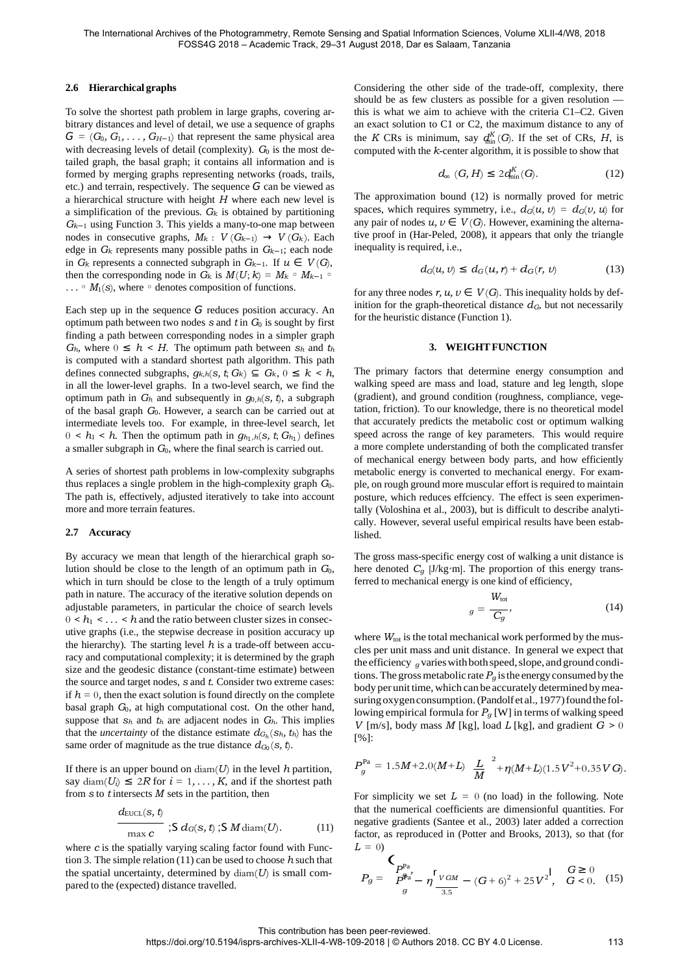### **2.6 Hierarchical graphs**

To solve the shortest path problem in large graphs, covering arbitrary distances and level of detail, we use a sequence of graphs  $G = (G_0, G_1, \ldots, G_{H-1})$  that represent the same physical area with decreasing levels of detail (complexity).  $G_0$  is the most detailed graph, the basal graph; it contains all information and is formed by merging graphs representing networks (roads, trails, etc.) and terrain, respectively. The sequence *G* can be viewed as a hierarchical structure with height *H* where each new level is a simplification of the previous.  $G_k$  is obtained by partitioning *Gk*−1 using Function 3. This yields a many-to-one map between nodes in consecutive graphs,  $M_k$ :  $V(G_{k-1}) \rightarrow V(G_k)$ . Each edge in *Gk* represents many possible paths in *Gk*−1; each node in *Gk* represents a connected subgraph in *Gk*−1. If *u* ∈ *V* (*G*), then the corresponding node in  $G_k$  is  $M(U; k) = M_k \circ M_{k-1} \circ$ *...* ◦ *M*<sub>1</sub>(*s*), where ◦ denotes composition of functions.

Each step up in the sequence *G* reduces position accuracy. An optimum path between two nodes *s* and *t* in *G*0 is sought by first finding a path between corresponding nodes in a simpler graph  $G_h$ , where  $0 \leq h \leq H$ . The optimum path between  $S_h$  and  $t_h$ is computed with a standard shortest path algorithm. This path defines connected subgraphs,  $g_{k,h}(s, t; G_k)$  ⊆  $G_k$ ,  $0 \le k < h$ , in all the lower-level graphs. In a two-level search, we find the optimum path in *Gh* and subsequently in *g*<sup>0</sup>*,h*(*s, t*), a subgraph of the basal graph  $G_0$ . However, a search can be carried out at intermediate levels too. For example, in three-level search, let  $0 \leq h_1 \leq h$ . Then the optimum path in  $g_{h_1,h}(s, t; G_{h_1})$  defines a smaller subgraph in *G*0, where the final search is carried out.

A series of shortest path problems in low-complexity subgraphs thus replaces a single problem in the high-complexity graph *G*0. The path is, effectively, adjusted iteratively to take into account more and more terrain features.

#### **2.7 Accuracy**

By accuracy we mean that length of the hierarchical graph solution should be close to the length of an optimum path in  $G_0$ , which in turn should be close to the length of a truly optimum path in nature. The accuracy of the iterative solution depends on adjustable parameters, in particular the choice of search levels  $0 \le h_1 \le \ldots \le h$  and the ratio between cluster sizes in consecutive graphs (i.e., the stepwise decrease in position accuracy up the hierarchy). The starting level  $h$  is a trade-off between accuracy and computational complexity; it is determined by the graph size and the geodesic distance (constant-time estimate) between the source and target nodes, *s* and *t*. Consider two extreme cases: if  $h = 0$ , then the exact solution is found directly on the complete basal graph *G*0, at high computational cost. On the other hand, suppose that  $s_h$  and  $t_h$  are adjacent nodes in  $G_h$ . This implies that the *uncertainty* of the distance estimate  $d_{G_h}(s_h, t_h)$  has the same order of magnitude as the true distance  $d_{G_0}(s, t)$ .

If there is an upper bound on  $\text{diam}(U)$  in the level h partition, say diam( $U_i$ )  $\leq 2R$  for  $i = 1, ..., K$ , and if the shortest path from *s* to *t* intersects *M* sets in the partition, then

$$
\frac{d_{\text{EUCL}}(s, t)}{\max c} ; S \, d_G(s, t) ; S \, M \, \text{diam}(U). \tag{11}
$$

where *c* is the spatially varying scaling factor found with Function 3. The simple relation (11) can be used to choose *h* such that the spatial uncertainty, determined by diam(*U*) is small com-<br>
pared to the (expected) distance travelled.  $P_g = \frac{P_{\phi}^{Pa}}{g} - \eta \frac{r_{VGM}}{g} - (G + 6)^2 + 25V^2$ ,  $G < 0$ .

the *K* CRs is minimum, say  $q_{\text{lin}}^K(G)$ . If the set of CRs, *H*, is Considering the other side of the trade-off, complexity, there should be as few clusters as possible for a given resolution this is what we aim to achieve with the criteria C1–C2. Given an exact solution to C1 or C2, the maximum distance to any of computed with the *k*-center algorithm, it is possible to show that

$$
d_{\infty} (G, H) \le 2 d_{\min}^{K}(G). \tag{12}
$$

The approximation bound (12) is normally proved for metric spaces, which requires symmetry, i.e.,  $d_G(u, v) = d_G(v, u)$  for any pair of nodes  $u, v \in V(G)$ . However, examining the alternative proof in (Har-Peled, 2008), it appears that only the triangle inequality is required, i.e.,

$$
d_G(u, v) \le d_G(u, r) + d_G(r, v) \tag{13}
$$

for any three nodes  $r, u, v \in V(G)$ . This inequality holds by definition for the graph-theoretical distance  $d_G$ , but not necessarily for the heuristic distance (Function 1).

#### **3. WEIGHT FUNCTION**

The primary factors that determine energy consumption and walking speed are mass and load, stature and leg length, slope (gradient), and ground condition (roughness, compliance, vegetation, friction). To our knowledge, there is no theoretical model that accurately predicts the metabolic cost or optimum walking speed across the range of key parameters. This would require a more complete understanding of both the complicated transfer of mechanical energy between body parts, and how efficiently metabolic energy is converted to mechanical energy. For example, on rough ground more muscular effort is required to maintain posture, which reduces effciency. The effect is seen experimentally (Voloshina et al., 2003), but is difficult to describe analytically. However, several useful empirical results have been established.

The gross mass-specific energy cost of walking a unit distance is here denoted *Cg* [J/kg*·*m]. The proportion of this energy transferred to mechanical energy is one kind of efficiency,

$$
g = \frac{W_{\text{tot}}}{C_g},\tag{14}
$$

where  $W_{\text{tot}}$  is the total mechanical work performed by the muscles per unit mass and unit distance. In general we expect that the efficiency  $q$  varies with both speed, slope, and ground conditions. The gross metabolic rate  $P<sub>g</sub>$  is the energy consumed by the body per unit time, which can be accurately determined by measuring oxygen consumption. (Pandolf et al., 1977) found the following empirical formula for *Pg* [W] in terms of walking speed *V* [m/s], body mass *M* [kg], load *L* [kg], and gradient  $G > 0$ [%]:

$$
P_g^{\text{Pa}} = 1.5M + 2.0(M + L) \frac{L}{M}^2 + \eta (M + L)(1.5V^2 + 0.35VG).
$$

For simplicity we set  $L = 0$  (no load) in the following. Note that the numerical coefficients are dimensionful quantities. For negative gradients (Santee et al., 2003) later added a correction factor, as reproduced in (Potter and Brooks, 2013), so that (for  $L = 0$ 

$$
P_g = \n\begin{cases}\nP_{\text{max}}^{\text{Pa}} \\
P_g = \frac{P_{\text{max}}^{\text{Pa}}}{g} - \eta \frac{v_{GM}}{3.5} - (G + 6)^2 + 25V^2, & G < 0. \quad (15)\n\end{cases}
$$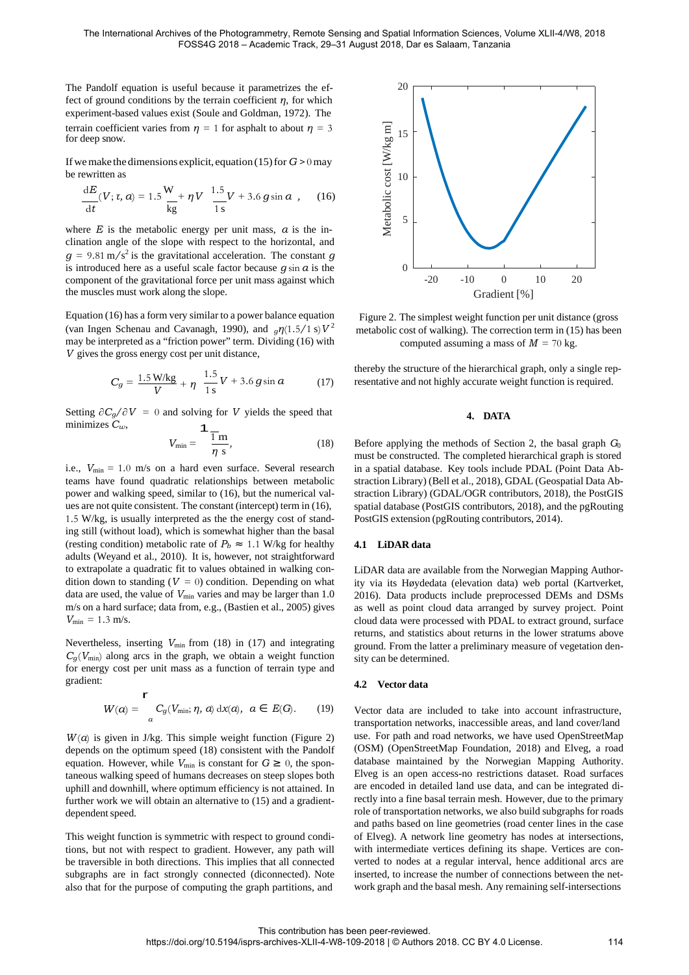The Pandolf equation is useful because it parametrizes the ef- 20 fect of ground conditions by the terrain coefficient *η*, for which experiment-based values exist (Soule and Goldman, 1972). The

If we make the dimensions explicit, equation (15) for  $G > 0$  may be rewritten as  $\frac{1}{8}$  10

terrain coefficient varies from 
$$
\eta = 1
$$
 for a sphalt to about  $\eta = 3$ 

\nFor deep snow.

\nIf we make the dimensions explicit, equation (15) for *G* > 0 may be rewritten as

\n
$$
\frac{dE}{dt}(V; \tau, a) = 1.5 \frac{W}{kg} + \eta V \frac{1.5}{1 \text{ s}} V + 3.6 g \sin a
$$
, (16)

\nwhere *E* is the metabolic energy per unit mass, *a* is the in–16

\n2.5

where  $E$  is the metabolic energy per unit mass,  $\alpha$  is the inclination angle of the slope with respect to the horizontal, and  $g = 9.81 \text{ m/s}^2$  is the gravitational acceleration. The constant *g* is introduced here as a useful scale factor because *g* sin *α* is the component of the gravitational force per unit mass against which the muscles must work along the slope.

Equation (16) has a form very similar to a power balance equation (van Ingen Schenau and Cavanagh, 1990), and  $_q\eta(1.5/1 \text{ s})V^2$ may be interpreted as a "friction power" term. Dividing (16) with *V* gives the gross energy cost per unit distance,

$$
C_g = \frac{1.5 \text{ W/kg}}{V} + \eta \frac{1.5}{1 \text{ s}} V + 3.6 g \sin \alpha \tag{17}
$$

Setting  $\partial C_g / \partial V = 0$  and solving for *V* yields the speed that **4. DATA** minimizes  $C_w$ , **4. 4. 4. 0** 1

$$
V_{\min} = \frac{\overline{1}m}{\eta s},\tag{18}
$$

i.e.,  $V_{\text{min}} = 1.0 \text{ m/s}$  on a hard even surface. Several research teams have found quadratic relationships between metabolic power and walking speed, similar to (16), but the numerical values are not quite consistent. The constant (intercept) term in (16), 1*.*5 W/kg, is usually interpreted as the the energy cost of standing still (without load), which is somewhat higher than the basal (resting condition) metabolic rate of  $P_b \approx 1.1$  W/kg for healthy adults (Weyand et al., 2010). It is, however, not straightforward to extrapolate a quadratic fit to values obtained in walking condition down to standing  $(V = 0)$  condition. Depending on what data are used, the value of  $V_{\text{min}}$  varies and may be larger than 1.0 m/s on a hard surface; data from, e.g., (Bastien et al., 2005) gives  $V_{\text{min}} = 1.3 \text{ m/s}.$ 

Nevertheless, inserting  $V_{\text{min}}$  from (18) in (17) and integrating  $C_q$  ( $V_{\text{min}}$ ) along arcs in the graph, we obtain a weight function for energy cost per unit mass as a function of terrain type and gradient:

$$
W(a) = \int_{a}^{b} C_g(V_{\min}; \eta, a) dx(a), \ a \in E(G).
$$
 (19)

 $W(\alpha)$  is given in J/kg. This simple weight function (Figure 2) depends on the optimum speed (18) consistent with the Pandolf equation. However, while  $V_{\text{min}}$  is constant for  $G \geq 0$ , the spontaneous walking speed of humans decreases on steep slopes both uphill and downhill, where optimum efficiency is not attained. In further work we will obtain an alternative to (15) and a gradientdependent speed.

This weight function is symmetric with respect to ground conditions, but not with respect to gradient. However, any path will be traversible in both directions. This implies that all connected subgraphs are in fact strongly connected (diconnected). Note also that for the purpose of computing the graph partitions, and



Figure 2. The simplest weight function per unit distance (gross metabolic cost of walking). The correction term in (15) has been computed assuming a mass of  $M = 70$  kg.

thereby the structure of the hierarchical graph, only a single representative and not highly accurate weight function is required.

*Before applying the methods of Section 2, the basal graph G*<sup>0</sup> must be constructed. The completed hierarchical graph is stored in a spatial database. Key tools include PDAL (Point Data Abstraction Library) (Bell et al., 2018), GDAL (Geospatial Data Abstraction Library) (GDAL/OGR contributors, 2018), the PostGIS spatial database (PostGIS contributors, 2018), and the pgRouting PostGIS extension (pgRouting contributors, 2014).

#### **4.1 LiDAR data**

LiDAR data are available from the Norwegian Mapping Authority via its Høydedata (elevation data) web portal (Kartverket, 2016). Data products include preprocessed DEMs and DSMs as well as point cloud data arranged by survey project. Point cloud data were processed with PDAL to extract ground, surface returns, and statistics about returns in the lower stratums above ground. From the latter a preliminary measure of vegetation density can be determined.

#### **4.2 Vector data**

Vector data are included to take into account infrastructure, transportation networks, inaccessible areas, and land cover/land use. For path and road networks, we have used OpenStreetMap (OSM) (OpenStreetMap Foundation, 2018) and Elveg, a road database maintained by the Norwegian Mapping Authority. Elveg is an open access-no restrictions dataset. Road surfaces are encoded in detailed land use data, and can be integrated directly into a fine basal terrain mesh. However, due to the primary role of transportation networks, we also build subgraphs for roads and paths based on line geometries (road center lines in the case of Elveg). A network line geometry has nodes at intersections, with intermediate vertices defining its shape. Vertices are converted to nodes at a regular interval, hence additional arcs are inserted, to increase the number of connections between the network graph and the basal mesh. Any remaining self-intersections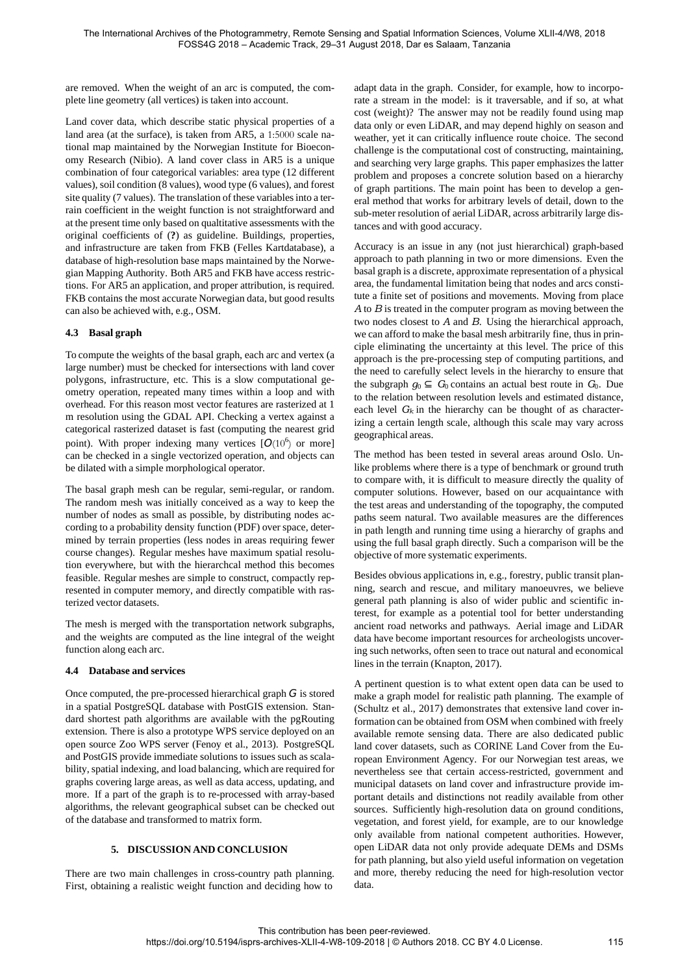are removed. When the weight of an arc is computed, the complete line geometry (all vertices) is taken into account.

Land cover data, which describe static physical properties of a land area (at the surface), is taken from AR5, a 1:5000 scale national map maintained by the Norwegian Institute for Bioeconomy Research (Nibio). A land cover class in AR5 is a unique combination of four categorical variables: area type (12 different values), soil condition (8 values), wood type (6 values), and forest site quality (7 values). The translation of these variablesinto a terrain coefficient in the weight function is not straightforward and at the present time only based on qualtitative assessments with the original coefficients of (**?**) as guideline. Buildings, properties, and infrastructure are taken from FKB (Felles Kartdatabase), a database of high-resolution base maps maintained by the Norwegian Mapping Authority. Both AR5 and FKB have access restrictions. For AR5 an application, and proper attribution, is required. FKB contains the most accurate Norwegian data, but good results can also be achieved with, e.g., OSM.

## **4.3 Basal graph**

To compute the weights of the basal graph, each arc and vertex (a large number) must be checked for intersections with land cover polygons, infrastructure, etc. This is a slow computational geometry operation, repeated many times within a loop and with overhead. For this reason most vector features are rasterized at 1 m resolution using the GDAL API. Checking a vertex against a categorical rasterized dataset is fast (computing the nearest grid point). With proper indexing many vertices  $[O(10^6)$  or more] can be checked in a single vectorized operation, and objects can be dilated with a simple morphological operator.

The basal graph mesh can be regular, semi-regular, or random. The random mesh was initially conceived as a way to keep the number of nodes as small as possible, by distributing nodes according to a probability density function (PDF) over space, determined by terrain properties (less nodes in areas requiring fewer course changes). Regular meshes have maximum spatial resolution everywhere, but with the hierarchcal method this becomes feasible. Regular meshes are simple to construct, compactly represented in computer memory, and directly compatible with rasterized vector datasets.

The mesh is merged with the transportation network subgraphs, and the weights are computed as the line integral of the weight function along each arc.

## **4.4 Database and services**

Once computed, the pre-processed hierarchical graph *G* is stored in a spatial PostgreSQL database with PostGIS extension. Standard shortest path algorithms are available with the pgRouting extension. There is also a prototype WPS service deployed on an open source Zoo WPS server (Fenoy et al., 2013). PostgreSQL and PostGIS provide immediate solutions to issues such as scalability, spatial indexing, and load balancing, which are required for graphs covering large areas, as well as data access, updating, and more. If a part of the graph is to re-processed with array-based algorithms, the relevant geographical subset can be checked out of the database and transformed to matrix form.

## **5. DISCUSSION AND CONCLUSION**

There are two main challenges in cross-country path planning. First, obtaining a realistic weight function and deciding how to adapt data in the graph. Consider, for example, how to incorporate a stream in the model: is it traversable, and if so, at what cost (weight)? The answer may not be readily found using map data only or even LiDAR, and may depend highly on season and weather, yet it can critically influence route choice. The second challenge is the computational cost of constructing, maintaining, and searching very large graphs. This paper emphasizes the latter problem and proposes a concrete solution based on a hierarchy of graph partitions. The main point has been to develop a general method that works for arbitrary levels of detail, down to the sub-meter resolution of aerial LiDAR, across arbitrarily large distances and with good accuracy.

Accuracy is an issue in any (not just hierarchical) graph-based approach to path planning in two or more dimensions. Even the basal graph is a discrete, approximate representation of a physical area, the fundamental limitation being that nodes and arcs constitute a finite set of positions and movements. Moving from place *A* to *B* is treated in the computer program as moving between the two nodes closest to *A* and *B*. Using the hierarchical approach, we can afford to make the basal mesh arbitrarily fine, thus in principle eliminating the uncertainty at this level. The price of this approach is the pre-processing step of computing partitions, and the need to carefully select levels in the hierarchy to ensure that the subgraph  $g_0 \subseteq G_0$  contains an actual best route in  $G_0$ . Due to the relation between resolution levels and estimated distance, each level  $G_k$  in the hierarchy can be thought of as characterizing a certain length scale, although this scale may vary across geographical areas.

The method has been tested in several areas around Oslo. Unlike problems where there is a type of benchmark or ground truth to compare with, it is difficult to measure directly the quality of computer solutions. However, based on our acquaintance with the test areas and understanding of the topography, the computed paths seem natural. Two available measures are the differences in path length and running time using a hierarchy of graphs and using the full basal graph directly. Such a comparison will be the objective of more systematic experiments.

Besides obvious applications in, e.g., forestry, public transit planning, search and rescue, and military manoeuvres, we believe general path planning is also of wider public and scientific interest, for example as a potential tool for better understanding ancient road networks and pathways. Aerial image and LiDAR data have become important resources for archeologists uncovering such networks, often seen to trace out natural and economical lines in the terrain (Knapton, 2017).

A pertinent question is to what extent open data can be used to make a graph model for realistic path planning. The example of (Schultz et al., 2017) demonstrates that extensive land cover information can be obtained from OSM when combined with freely available remote sensing data. There are also dedicated public land cover datasets, such as CORINE Land Cover from the European Environment Agency. For our Norwegian test areas, we nevertheless see that certain access-restricted, government and municipal datasets on land cover and infrastructure provide important details and distinctions not readily available from other sources. Sufficiently high-resolution data on ground conditions, vegetation, and forest yield, for example, are to our knowledge only available from national competent authorities. However, open LiDAR data not only provide adequate DEMs and DSMs for path planning, but also yield useful information on vegetation and more, thereby reducing the need for high-resolution vector data.